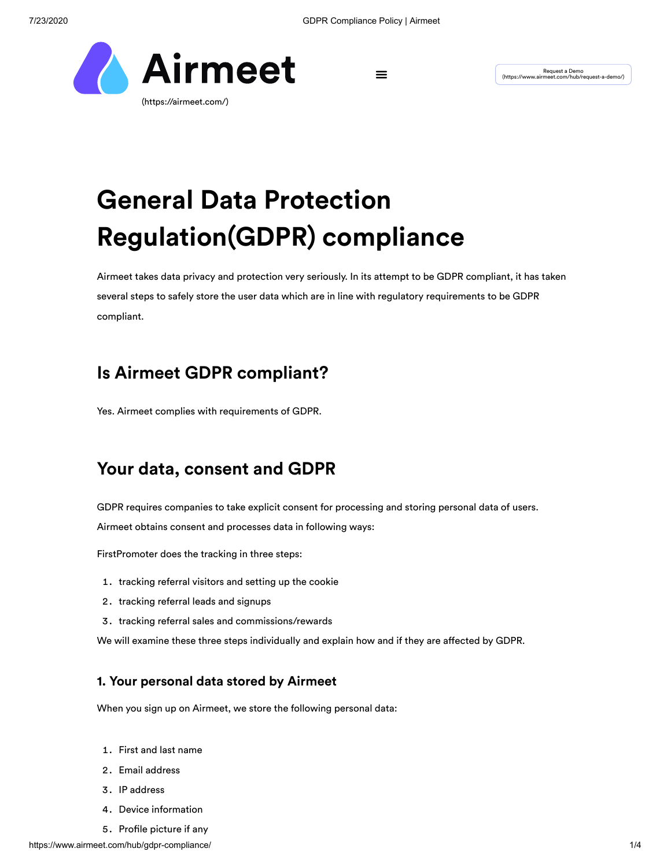

Request a Demo<br>(/https://www.airmeet.com/hub/request-a-demo/) (https://www.airmeet.com/hub/request-a-demo/

# **General Data Protection Regulation(GDPR) compliance**

Airmeet takes data privacy and protection very seriously. In its attempt to be GDPR compliant, it has taken several steps to safely store the user data which are in line with regulatory requirements to be GDPR compliant.

# **Is Airmeet GDPR compliant?**

Yes. Airmeet complies with requirements of GDPR.

# **Your data, consent and GDPR**

GDPR requires companies to take explicit consent for processing and storing personal data of users.

Airmeet obtains consent and processes data in following ways:

FirstPromoter does the tracking in three steps:

- 1. tracking referral visitors and setting up the cookie
- 2. tracking referral leads and signups
- 3. tracking referral sales and commissions/rewards

We will examine these three steps individually and explain how and if they are affected by GDPR.

### **1. Your personal data stored by Airmeet**

When you sign up on Airmeet, we store the following personal data:

- 1. First and last name
- 2. Email address
- 3. IP address
- 4. Device information
- 5. Profile picture if any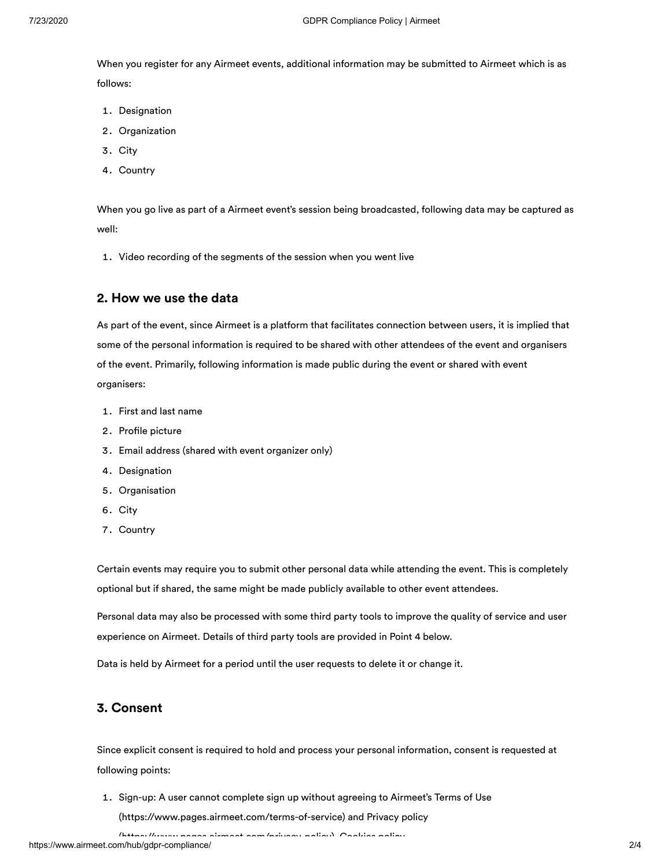When you register for any Airmeet events, additional information may be submitted to Airmeet which is as follows:

- 1. Designation
- 2. Organization
- 3. City
- 4. Country

When you go live as part of a Airmeet event's session being broadcasted, following data may be captured as well:

1. Video recording of the segments of the session when you went live

#### **2. How we use the data**

As part of the event, since Airmeet is a platform that facilitates connection between users, it is implied that some of the personal information is required to be shared with other attendees of the event and organisers of the event. Primarily, following information is made public during the event or shared with event organisers:

- 1. First and last name
- 2. Profile picture
- Email address (shared with event organizer only)
- 4. Designation
- 5. Organisation
- 6. City
- 7. Country

Certain events may require you to submit other personal data while attending the event. This is completely optional but if shared, the same might be made publicly available to other event attendees.

Personal data may also be processed with some third party tools to improve the quality of service and user experience on Airmeet. Details of third party tools are provided in Point 4 below.

Data is held by Airmeet for a period until the user requests to delete it or change it.

#### **3. Consent**

Since explicit consent is required to hold and process your personal information, consent is requested at following points:

1. [Sign-up: A user cannot complete sign up without agreeing to Airmeet's](https://www.pages.airmeet.com/terms-of-service) Terms of Use [\(https://www.pages.airmeet.com/terms-of-service\) and Privacy policy](https://www.pages.airmeet.com/privacy-policy)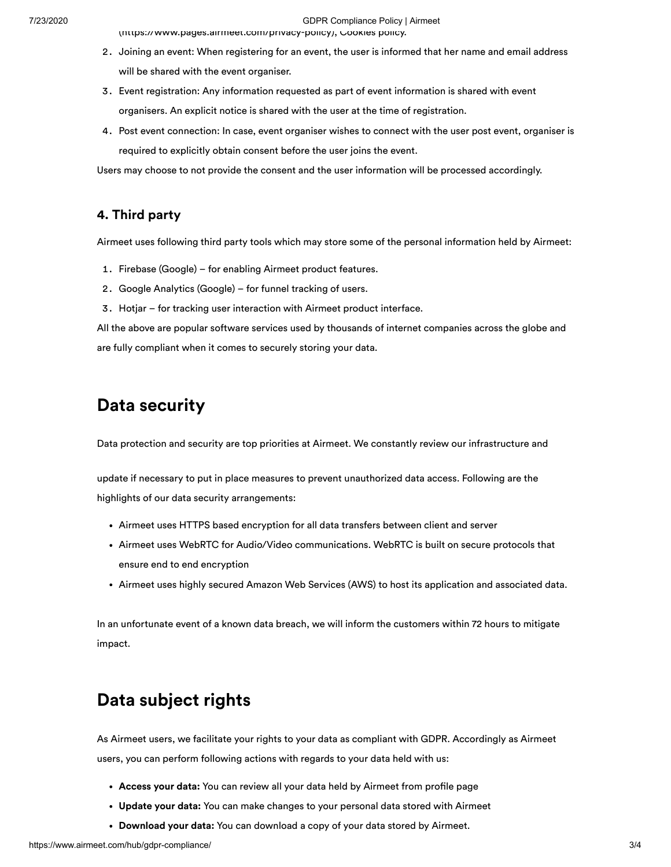7/23/2020 GDPR Compliance Policy | Airmeet

[\(https://www.pages.airmeet.com/privacy-policy\), Cookies policy.](https://www.pages.airmeet.com/privacy-policy)

- 2. Joining an event: When registering for an event, the user is informed that her name and email address will be shared with the event organiser.
- Event registration: Any information requested as part of event information is shared with event organisers. An explicit notice is shared with the user at the time of registration.
- Post event connection: In case, event organiser wishes to connect with the user post event, organiser is required to explicitly obtain consent before the user joins the event.

Users may choose to not provide the consent and the user information will be processed accordingly.

### **4. Third party**

Airmeet uses following third party tools which may store some of the personal information held by Airmeet:

- 1. Firebase (Google) for enabling Airmeet product features.
- 2. Google Analytics (Google) for funnel tracking of users.
- 3. Hotjar for tracking user interaction with Airmeet product interface.

All the above are popular software services used by thousands of internet companies across the globe and are fully compliant when it comes to securely storing your data.

# **Data security**

Data protection and security are top priorities at Airmeet. We constantly review our infrastructure and

update if necessary to put in place measures to prevent unauthorized data access. Following are the highlights of our data security arrangements:

- Airmeet uses HTTPS based encryption for all data transfers between client and server
- Airmeet uses WebRTC for Audio/Video communications. WebRTC is built on secure protocols that ensure end to end encryption
- Airmeet uses highly secured Amazon Web Services (AWS) to host its application and associated data.

In an unfortunate event of a known data breach, we will inform the customers within 72 hours to mitigate impact.

# **Data subject rights**

As Airmeet users, we facilitate your rights to your data as compliant with GDPR. Accordingly as Airmeet users, you can perform following actions with regards to your data held with us:

- **Access your data:** You can review all your data held by Airmeet from profile page
- **Update your data:** You can make changes to your personal data stored with Airmeet
- **Download your data:** You can download a copy of your data stored by Airmeet.